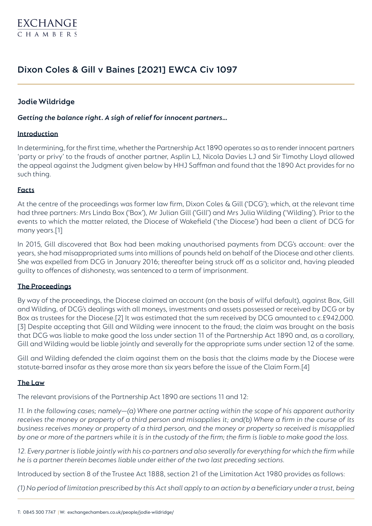# Dixon Coles & Gill v Baines [2021] EWCA Civ 1097

# **Jodie Wildridge**

*Getting the balance right. A sigh of relief for innocent partners…*

#### **Introduction**

In determining, for the first time, whether the Partnership Act 1890 operates so as to render innocent partners 'party or privy' to the frauds of another partner, Asplin LJ, Nicola Davies LJ and Sir Timothy Lloyd allowed the appeal against the Judgment given below by HHJ Saffman and found that the 1890 Act provides for no such thing.

#### **Facts**

At the centre of the proceedings was former law firm, Dixon Coles & Gill ('DCG'); which, at the relevant time had three partners: Mrs Linda Box ('Box'), Mr Julian Gill ('Gill') and Mrs Julia Wilding ('Wilding'). Prior to the events to which the matter related, the Diocese of Wakefield ('the Diocese') had been a client of DCG for many years.[1]

In 2015, Gill discovered that Box had been making unauthorised payments from DCG's account: over the years, she had misappropriated sums into millions of pounds held on behalf of the Diocese and other clients. She was expelled from DCG in January 2016; thereafter being struck off as a solicitor and, having pleaded guilty to offences of dishonesty, was sentenced to a term of imprisonment.

#### **The Proceedings**

By way of the proceedings, the Diocese claimed an account (on the basis of wilful default), against Box, Gill and Wilding, of DCG's dealings with all moneys, investments and assets possessed or received by DCG or by Box as trustees for the Diocese.[2] It was estimated that the sum received by DCG amounted to c.£942,000. [3] Despite accepting that Gill and Wilding were innocent to the fraud; the claim was brought on the basis that DCG was liable to make good the loss under section 11 of the Partnership Act 1890 and, as a corollary, Gill and Wilding would be liable jointly and severally for the appropriate sums under section 12 of the same.

Gill and Wilding defended the claim against them on the basis that the claims made by the Diocese were statute-barred insofar as they arose more than six years before the issue of the Claim Form.[4]

#### **The Law**

The relevant provisions of the Partnership Act 1890 are sections 11 and 12:

*11. In the following cases; namely—(a) Where one partner acting within the scope of his apparent authority receives the money or property of a third person and misapplies it; and(b) Where a firm in the course of its business receives money or property of a third person, and the money or property so received is misapplied by one or more of the partners while it is in the custody of the firm; the firm is liable to make good the loss.*

12. Every partner is liable jointly with his co-partners and also severally for everything for which the firm while *he is a partner therein becomes liable under either of the two last preceding sections.*

Introduced by section 8 of the Trustee Act 1888, section 21 of the Limitation Act 1980 provides as follows:

*(1) No period of limitation prescribed by this Act shall apply to an action by a beneficiary under a trust, being*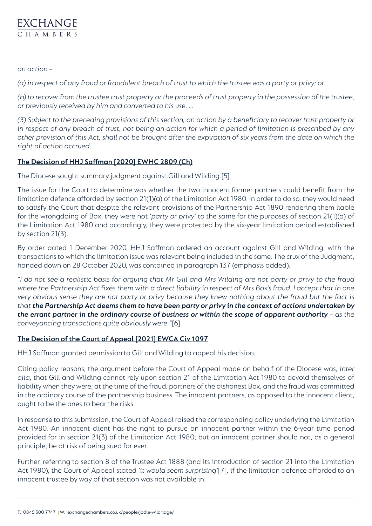

*an action –*

*(a) in respect of any fraud or fraudulent breach of trust to which the trustee was a party or privy; or*

*(b) to recover from the trustee trust property or the proceeds of trust property in the possession of the trustee, or previously received by him and converted to his use. …*

*(3) Subject to the preceding provisions of this section, an action by a beneficiary to recover trust property or in respect of any breach of trust, not being an action for which a period of limitation is prescribed by any other provision of this Act, shall not be brought after the expiration of six years from the date on which the right of action accrued.*

### **The Decision of HHJ Saffman [\[2020\] EWHC 2809 \(Ch\)](https://www.bailii.org/cgi-bin/format.cgi?doc=/ew/cases/EWHC/Ch/2020/2809.html&query=(dixon)+AND+(coles))**

The Diocese sought summary judgment against Gill and Wilding.[5]

The issue for the Court to determine was whether the two innocent former partners could benefit from the limitation defence afforded by section 21(1)(a) of the Limitation Act 1980. In order to do so, they would need to satisfy the Court that despite the relevant provisions of the Partnership Act 1890 rendering them liable for the wrongdoing of Box, they were not '*party or privy*' to the same for the purposes of section 21(1)(a) of the Limitation Act 1980 and accordingly, they were protected by the six-year limitation period established by section 21(3).

By order dated 1 December 2020, HHJ Saffman ordered an account against Gill and Wilding, with the transactions to which the limitation issue was relevant being included in the same. The crux of the Judgment, handed down on 28 October 2020, was contained in paragraph 137 (emphasis added):

*"I do not see a realistic basis for arguing that Mr Gill and Mrs Wilding are not party or privy to the fraud*  where the Partnership Act fixes them with a direct liability in respect of Mrs Box's fraud. I accept that in one *very obvious sense they are not party or privy because they knew nothing about the fraud but the fact is that the Partnership Act deems them to have been party or privy in the context of actions undertaken by the errant partner in the ordinary course of business or within the scope of apparent authority – as the conveyancing transactions quite obviously were."*[6]

# **The Decision of the Court of Appea[l \[2021\] EWCA Civ 1097](https://www.bailii.org/cgi-bin/format.cgi?doc=/ew/cases/EWCA/Civ/2021/1097.html&query=(dixon)+AND+(coles))**

HHJ Saffman granted permission to Gill and Wilding to appeal his decision.

Citing policy reasons, the argument before the Court of Appeal made on behalf of the Diocese was, *inter alia*, that Gill and Wilding cannot rely upon section 21 of the Limitation Act 1980 to devoid themselves of liability when they were, at the time of the fraud, partners of the dishonest Box, and the fraud was committed in the ordinary course of the partnership business. The innocent partners, as opposed to the innocent client, ought to be the ones to bear the risks.

In response to this submission, the Court of Appeal raised the corresponding policy underlying the Limitation Act 1980. An innocent client has the right to pursue an innocent partner within the 6-year time period provided for in section 21(3) of the Limitation Act 1980; but an innocent partner should not, as a general principle, be at risk of being sued for ever.

Further, referring to section 8 of the Trustee Act 1888 (and its introduction of section 21 into the Limitation Act 1980), the Court of Appeal stated *'it would seem surprising'*[7], if the limitation defence afforded to an innocent trustee by way of that section was not available in: